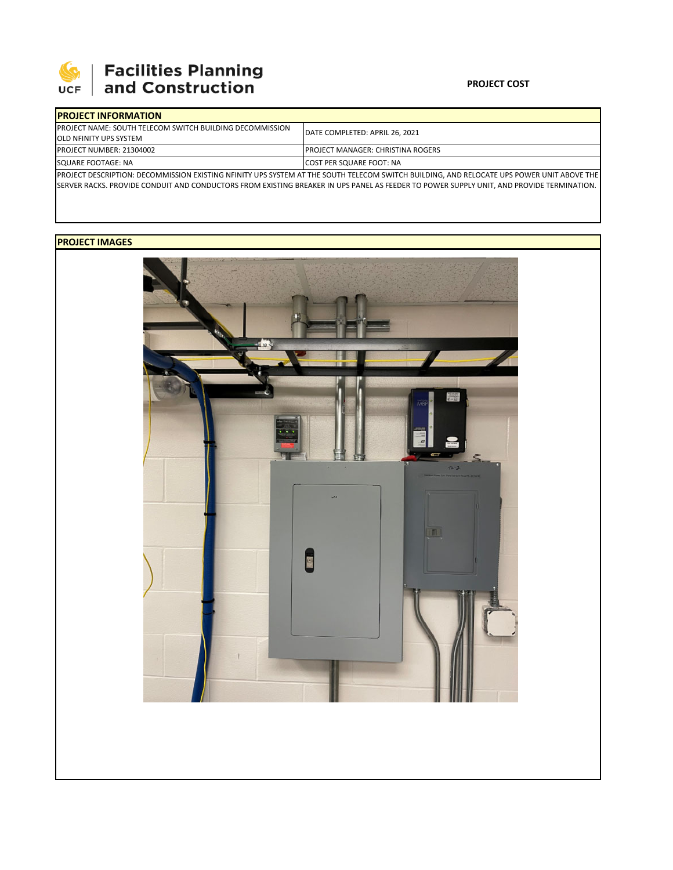

# **SEPTE AND Facilities Planning**<br>UCF and Construction

### **PROJECT COST**

| <b>IPROJECT INFORMATION</b>                                      |                                                                                                                                           |  |  |  |
|------------------------------------------------------------------|-------------------------------------------------------------------------------------------------------------------------------------------|--|--|--|
| <b>IPROJECT NAME: SOUTH TELECOM SWITCH BUILDING DECOMMISSION</b> | <b>IDATE COMPLETED: APRIL 26, 2021</b>                                                                                                    |  |  |  |
| <b>JOLD NFINITY UPS SYSTEM</b>                                   |                                                                                                                                           |  |  |  |
| <b>PROJECT NUMBER: 21304002</b>                                  | <b>IPROJECT MANAGER: CHRISTINA ROGERS</b>                                                                                                 |  |  |  |
| SQUARE FOOTAGE: NA                                               | <b>ICOST PER SQUARE FOOT: NA</b>                                                                                                          |  |  |  |
|                                                                  | PROJECT DESCRIPTION: DECOMMISSION EXISTING NFINITY UPS SYSTEM AT THE SOUTH TELECOM SWITCH BUILDING, AND RELOCATE UPS POWER UNIT ABOVE THE |  |  |  |

SERVER RACKS. PROVIDE CONDUIT AND CONDUCTORS FROM EXISTING BREAKER IN UPS PANEL AS FEEDER TO POWER SUPPLY UNIT, AND PROVIDE TERMINATION.

## **PROJECT IMAGES**